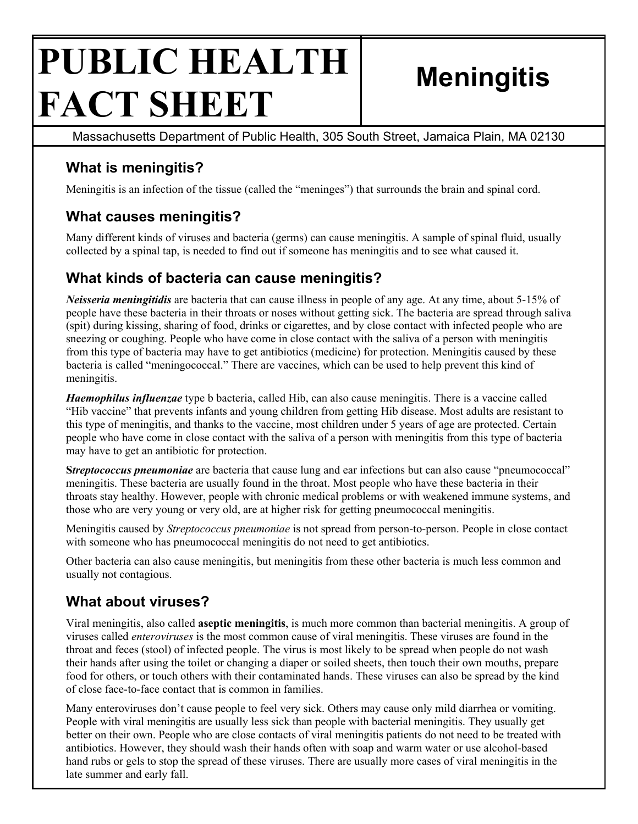# **PUBLIC HEALTH FACT SHEET Meningitis**

Massachusetts Department of Public Health, 305 South Street, Jamaica Plain, MA 02130

# **What is meningitis?**

Meningitis is an infection of the tissue (called the "meninges") that surrounds the brain and spinal cord.

## **What causes meningitis?**

Many different kinds of viruses and bacteria (germs) can cause meningitis. A sample of spinal fluid, usually collected by a spinal tap, is needed to find out if someone has meningitis and to see what caused it.

## **What kinds of bacteria can cause meningitis?**

*Neisseria meningitidis* are bacteria that can cause illness in people of any age. At any time, about 5-15% of people have these bacteria in their throats or noses without getting sick. The bacteria are spread through saliva (spit) during kissing, sharing of food, drinks or cigarettes, and by close contact with infected people who are sneezing or coughing. People who have come in close contact with the saliva of a person with meningitis from this type of bacteria may have to get antibiotics (medicine) for protection. Meningitis caused by these bacteria is called "meningococcal." There are vaccines, which can be used to help prevent this kind of meningitis.

*Haemophilus influenzae* type b bacteria, called Hib, can also cause meningitis. There is a vaccine called "Hib vaccine" that prevents infants and young children from getting Hib disease. Most adults are resistant to this type of meningitis, and thanks to the vaccine, most children under 5 years of age are protected. Certain people who have come in close contact with the saliva of a person with meningitis from this type of bacteria may have to get an antibiotic for protection.

**S***treptococcus pneumoniae* are bacteria that cause lung and ear infections but can also cause "pneumococcal" meningitis. These bacteria are usually found in the throat. Most people who have these bacteria in their throats stay healthy. However, people with chronic medical problems or with weakened immune systems, and those who are very young or very old, are at higher risk for getting pneumococcal meningitis.

Meningitis caused by *Streptococcus pneumoniae* is not spread from person-to-person. People in close contact with someone who has pneumococcal meningitis do not need to get antibiotics.

Other bacteria can also cause meningitis, but meningitis from these other bacteria is much less common and usually not contagious.

# **What about viruses?**

Viral meningitis, also called **aseptic meningitis**, is much more common than bacterial meningitis. A group of viruses called *enteroviruses* is the most common cause of viral meningitis. These viruses are found in the throat and feces (stool) of infected people. The virus is most likely to be spread when people do not wash their hands after using the toilet or changing a diaper or soiled sheets, then touch their own mouths, prepare food for others, or touch others with their contaminated hands. These viruses can also be spread by the kind of close face-to-face contact that is common in families.

Many enteroviruses don't cause people to feel very sick. Others may cause only mild diarrhea or vomiting. People with viral meningitis are usually less sick than people with bacterial meningitis. They usually get better on their own. People who are close contacts of viral meningitis patients do not need to be treated with antibiotics. However, they should wash their hands often with soap and warm water or use alcohol-based hand rubs or gels to stop the spread of these viruses. There are usually more cases of viral meningitis in the late summer and early fall.